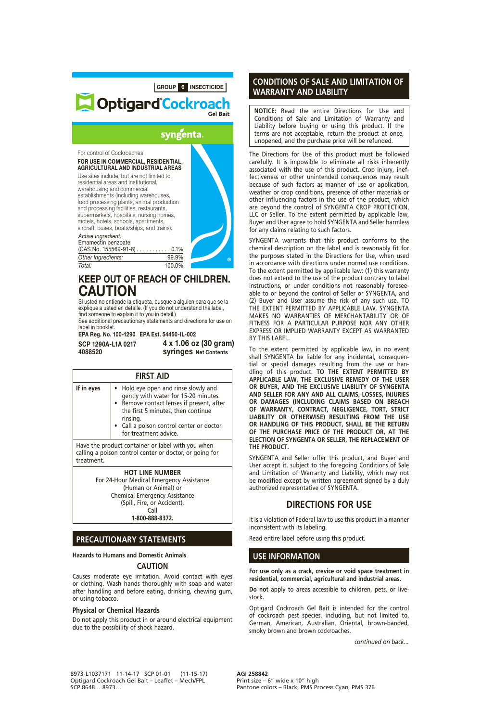### GROUP 6 INSECTICIDE Optigard Cockroach Gel Bait syngenta. For control of Cockroaches FOR USE IN COMMERCIAL, RESIDENTIAL, AGRICULTURAL AND INDUSTRIAL AREAS Use sites include, but are not limited to, residential areas and institutional, warehousing and commercial establishments (including warehouses, food processing plants, animal production and processing facilities, restaurants, supermarkets, hospitals, nursing homes, motels, hotels, schools, apartments, aircraft, buses, boats/ships, and trains). *Active Ingredient:* Emamectin benzoate (CAS No. 155569-91-8) . . . . . . . . . . . 0.1% *Other Ingredients:* 99.9% *Total:* 100.0%

# KEEP OUT OF REACH OF CHILDREN. CAUTION

Si usted no entiende la etiqueta, busque a alguien para que se la explique a usted en detalle. (If you do not understand the label, find someone to explain it to you in detail.)

See additional precautionary statements and directions for use on label in booklet.

EPA Reg. No. 100-1290 EPA Est. 54450-IL-002

SCP 1290A-L1A 0217 4088520

4 x 1.06 oz (30 gram) syringes Net Contents

| <b>FIRST AID</b>                                                                                                           |                                                                                                                                                                                                                                                |
|----------------------------------------------------------------------------------------------------------------------------|------------------------------------------------------------------------------------------------------------------------------------------------------------------------------------------------------------------------------------------------|
| If in eyes                                                                                                                 | Hold eye open and rinse slowly and<br>gently with water for 15-20 minutes.<br>• Remove contact lenses if present, after<br>the first 5 minutes, then continue<br>rinsing.<br>• Call a poison control center or doctor<br>for treatment advice. |
| Have the product container or label with you when<br>calling a poison control center or doctor, or going for<br>treatment. |                                                                                                                                                                                                                                                |
|                                                                                                                            | <b>HOT LINE NUMBER</b><br>For 24-Hour Medical Emergency Assistance<br>(Human or Animal) or                                                                                                                                                     |

Chemical Emergency Assistance (Spill, Fire, or Accident), Call **1-800-888-8372.**

**PRECAUTIONARY STATEMENTS**

# **Hazards to Humans and Domestic Animals**

# **CAUTION**

Causes moderate eye irritation. Avoid contact with eyes or clothing. Wash hands thoroughly with soap and water after handling and before eating, drinking, chewing gum, or using tobacco.

#### **Physical or Chemical Hazards**

Do not apply this product in or around electrical equipment due to the possibility of shock hazard.

## **CONDITIONS OF SALE AND LIMITATION OF WARRANTY AND LIABILITY**

**NOTICE:** Read the entire Directions for Use and Conditions of Sale and Limitation of Warranty and Liability before buying or using this product. If the terms are not acceptable, return the product at once, unopened, and the purchase price will be refunded.

The Directions for Use of this product must be followed carefully. It is impossible to eliminate all risks inherently associated with the use of this product. Crop injury, ineffectiveness or other unintended consequences may result because of such factors as manner of use or application, weather or crop conditions, presence of other materials or other influencing factors in the use of the product, which are beyond the control of SYNGENTA CROP PROTECTION, LLC or Seller. To the extent permitted by applicable law, Buyer and User agree to hold SYNGENTA and Seller harmless for any claims relating to such factors.

SYNGENTA warrants that this product conforms to the chemical description on the label and is reasonably fit for the purposes stated in the Directions for Use, when used in accordance with directions under normal use conditions. To the extent permitted by applicable law: (1) this warranty does not extend to the use of the product contrary to label instructions, or under conditions not reasonably foreseeable to or beyond the control of Seller or SYNGENTA, and (2) Buyer and User assume the risk of any such use. TO THE EXTENT PERMITTED BY APPLICABLE LAW, SYNGENTA MAKES NO WARRANTIES OF MERCHANTABILITY OR OF FITNESS FOR A PARTICULAR PURPOSE NOR ANY OTHER EXPRESS OR IMPLIED WARRANTY EXCEPT AS WARRANTED BY THIS LABEL.

To the extent permitted by applicable law, in no event shall SYNGENTA be liable for any incidental, consequential or special damages resulting from the use or handling of this product. **TO THE EXTENT PERMITTED BY APPLICABLE LAW, THE EXCLUSIVE REMEDY OF THE USER OR BUYER, AND THE EXCLUSIVE LIABILITY OF SYNGENTA AND SELLER FOR ANY AND ALL CLAIMS, LOSSES, INJURIES OR DAMAGES (INCLUDING CLAIMS BASED ON BREACH OF WARRANTY, CONTRACT, NEGLIGENCE, TORT, STRICT LIABILITY OR OTHERWISE) RESULTING FROM THE USE OR HANDLING OF THIS PRODUCT, SHALL BE THE RETURN OF THE PURCHASE PRICE OF THE PRODUCT OR, AT THE ELECTION OF SYNGENTA OR SELLER, THE REPLACEMENT OF THE PRODUCT.**

SYNGENTA and Seller offer this product, and Buyer and User accept it, subject to the foregoing Conditions of Sale and Limitation of Warranty and Liability, which may not be modified except by written agreement signed by a duly authorized representative of SYNGENTA.

## **DIRECTIONS FOR USE**

It is a violation of Federal law to use this product in a manner inconsistent with its labeling.

Read entire label before using this product.

#### **USE INFORMATION**

**For use only as a crack, crevice or void space treatment in residential, commercial, agricultural and industrial areas.**

**Do not** apply to areas accessible to children, pets, or livestock.

Optigard Cockroach Gel Bait is intended for the control of cockroach pest species, including, but not limited to, German, American, Australian, Oriental, brown-banded, smoky brown and brown cockroaches.

*continued on back...*

8973-L1037171 11-14-17 SCP 01-01 (11-15-17) Optigard Cockroach Gel Bait – Leaflet – Mech/FPL SCP 8648… 8973…